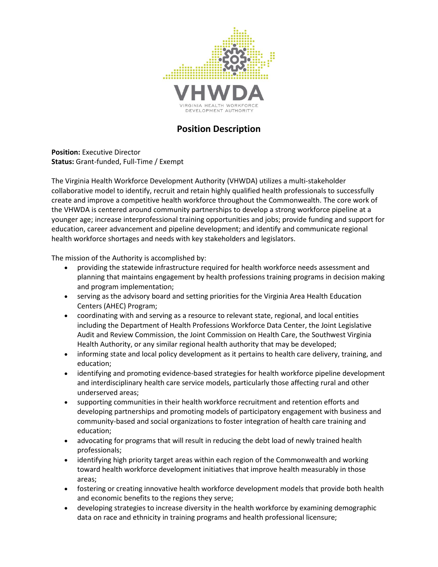

# **Position Description**

**Position:** Executive Director **Status:** Grant-funded, Full-Time / Exempt

The Virginia Health Workforce Development Authority (VHWDA) utilizes a multi-stakeholder collaborative model to identify, recruit and retain highly qualified health professionals to successfully create and improve a competitive health workforce throughout the Commonwealth. The core work of the VHWDA is centered around community partnerships to develop a strong workforce pipeline at a younger age; increase interprofessional training opportunities and jobs; provide funding and support for education, career advancement and pipeline development; and identify and communicate regional health workforce shortages and needs with key stakeholders and legislators.

The mission of the Authority is accomplished by:

- providing the statewide infrastructure required for health workforce needs assessment and planning that maintains engagement by health professions training programs in decision making and program implementation;
- serving as the advisory board and setting priorities for the Virginia Area Health Education Centers (AHEC) Program;
- coordinating with and serving as a resource to relevant state, regional, and local entities including the Department of Health Professions Workforce Data Center, the Joint Legislative Audit and Review Commission, the Joint Commission on Health Care, the Southwest Virginia Health Authority, or any similar regional health authority that may be developed;
- informing state and local policy development as it pertains to health care delivery, training, and education;
- identifying and promoting evidence-based strategies for health workforce pipeline development and interdisciplinary health care service models, particularly those affecting rural and other underserved areas;
- supporting communities in their health workforce recruitment and retention efforts and developing partnerships and promoting models of participatory engagement with business and community-based and social organizations to foster integration of health care training and education;
- advocating for programs that will result in reducing the debt load of newly trained health professionals;
- identifying high priority target areas within each region of the Commonwealth and working toward health workforce development initiatives that improve health measurably in those areas;
- fostering or creating innovative health workforce development models that provide both health and economic benefits to the regions they serve;
- developing strategies to increase diversity in the health workforce by examining demographic data on race and ethnicity in training programs and health professional licensure;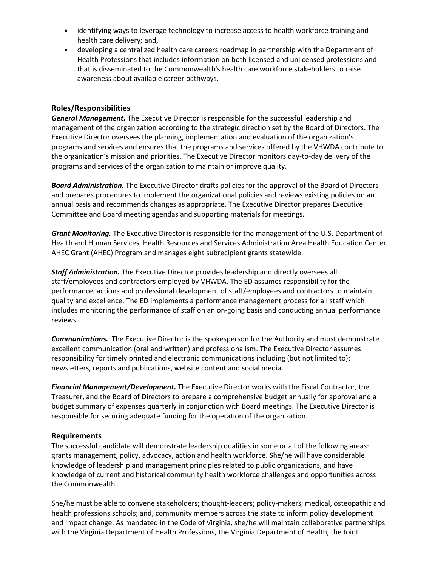- identifying ways to leverage technology to increase access to health workforce training and health care delivery; and,
- developing a centralized health care careers roadmap in partnership with the Department of Health Professions that includes information on both licensed and unlicensed professions and that is disseminated to the Commonwealth's health care workforce stakeholders to raise awareness about available career pathways.

# **Roles/Responsibilities**

*General Management.* The Executive Director is responsible for the successful leadership and management of the organization according to the strategic direction set by the Board of Directors. The Executive Director oversees the planning, implementation and evaluation of the organization's programs and services and ensures that the programs and services offered by the VHWDA contribute to the organization's mission and priorities. The Executive Director monitors day-to-day delivery of the programs and services of the organization to maintain or improve quality.

*Board Administration.* The Executive Director drafts policies for the approval of the Board of Directors and prepares procedures to implement the organizational policies and reviews existing policies on an annual basis and recommends changes as appropriate. The Executive Director prepares Executive Committee and Board meeting agendas and supporting materials for meetings.

*Grant Monitoring.* The Executive Director is responsible for the management of the U.S. Department of Health and Human Services, Health Resources and Services Administration Area Health Education Center AHEC Grant (AHEC) Program and manages eight subrecipient grants statewide.

*Staff Administration.* The Executive Director provides leadership and directly oversees all staff/employees and contractors employed by VHWDA. The ED assumes responsibility for the performance, actions and professional development of staff/employees and contractors to maintain quality and excellence. The ED implements a performance management process for all staff which includes monitoring the performance of staff on an on-going basis and conducting annual performance reviews.

*Communications.* The Executive Director is the spokesperson for the Authority and must demonstrate excellent communication (oral and written) and professionalism. The Executive Director assumes responsibility for timely printed and electronic communications including (but not limited to): newsletters, reports and publications, website content and social media.

*Financial Management/Development.* The Executive Director works with the Fiscal Contractor, the Treasurer, and the Board of Directors to prepare a comprehensive budget annually for approval and a budget summary of expenses quarterly in conjunction with Board meetings. The Executive Director is responsible for securing adequate funding for the operation of the organization.

## **Requirements**

The successful candidate will demonstrate leadership qualities in some or all of the following areas: grants management, policy, advocacy, action and health workforce. She/he will have considerable knowledge of leadership and management principles related to public organizations, and have knowledge of current and historical community health workforce challenges and opportunities across the Commonwealth.

She/he must be able to convene stakeholders; thought-leaders; policy-makers; medical, osteopathic and health professions schools; and, community members across the state to inform policy development and impact change. As mandated in the Code of Virginia, she/he will maintain collaborative partnerships with the Virginia Department of Health Professions, the Virginia Department of Health, the Joint